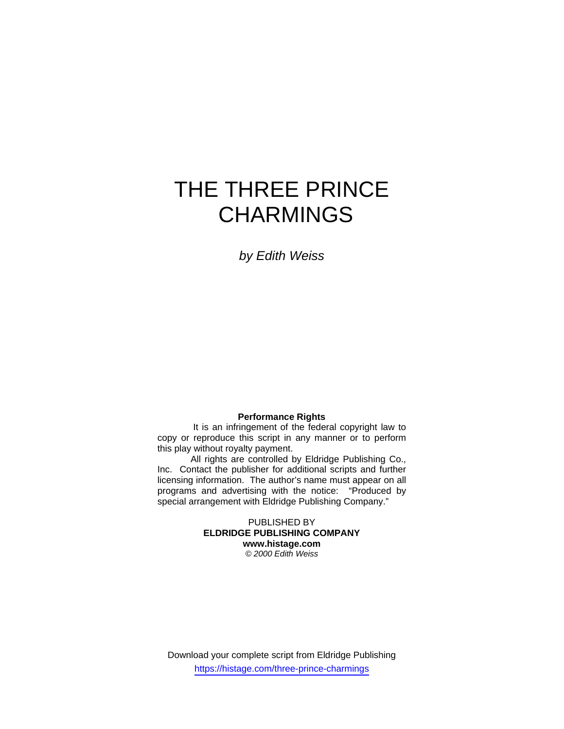# THE THREE PRINCE **CHARMINGS**

*by Edith Weiss*

## **Performance Rights**

 It is an infringement of the federal copyright law to copy or reproduce this script in any manner or to perform this play without royalty payment.

 All rights are controlled by Eldridge Publishing Co., Inc. Contact the publisher for additional scripts and further licensing information. The author's name must appear on all programs and advertising with the notice: "Produced by special arrangement with Eldridge Publishing Company."

> PUBLISHED BY **ELDRIDGE PUBLISHING COMPANY www.histage.com**  *© 2000 Edith Weiss*

Download your complete script from Eldridge Publishing https://histage.com/three-prince-charmings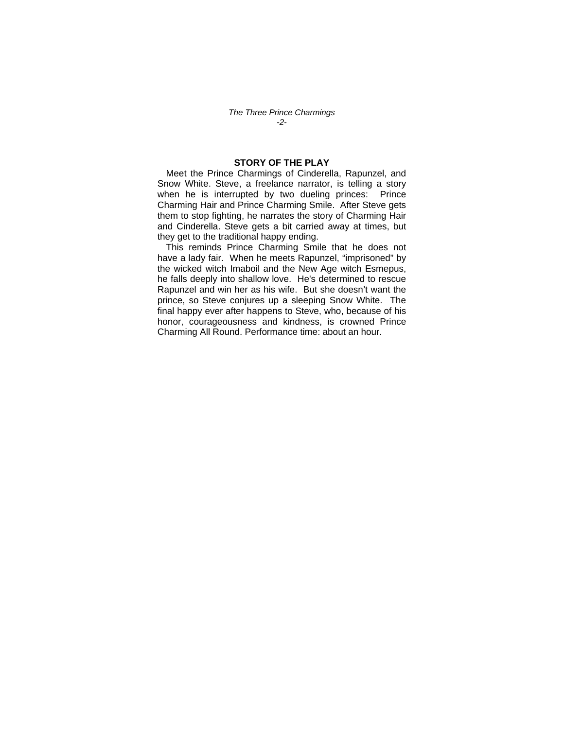*The Three Prince Charmings -2-* 

## **STORY OF THE PLAY**

Meet the Prince Charmings of Cinderella, Rapunzel, and Snow White. Steve, a freelance narrator, is telling a story when he is interrupted by two dueling princes: Prince Charming Hair and Prince Charming Smile. After Steve gets them to stop fighting, he narrates the story of Charming Hair and Cinderella. Steve gets a bit carried away at times, but they get to the traditional happy ending.

This reminds Prince Charming Smile that he does not have a lady fair. When he meets Rapunzel, "imprisoned" by the wicked witch Imaboil and the New Age witch Esmepus, he falls deeply into shallow love. He's determined to rescue Rapunzel and win her as his wife. But she doesn't want the prince, so Steve conjures up a sleeping Snow White. The final happy ever after happens to Steve, who, because of his honor, courageousness and kindness, is crowned Prince Charming All Round. Performance time: about an hour.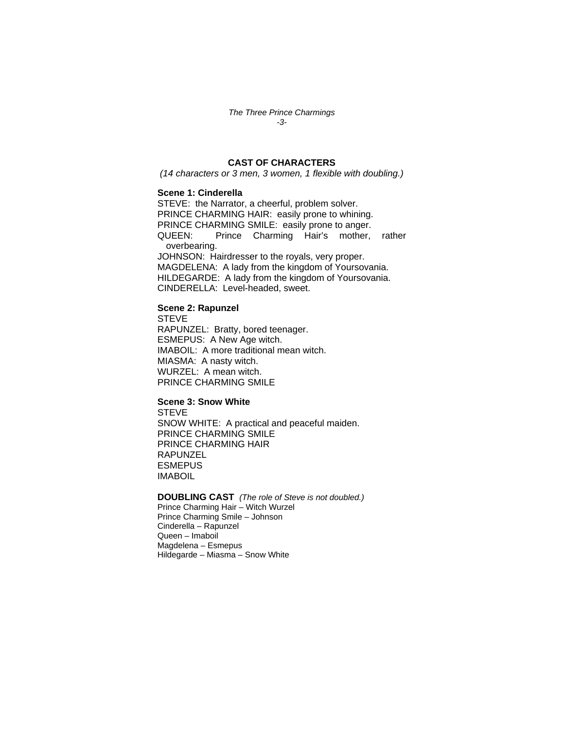*The Three Prince Charmings -3-* 

## **CAST OF CHARACTERS**

*(14 characters or 3 men, 3 women, 1 flexible with doubling.)* 

#### **Scene 1: Cinderella**

STEVE: the Narrator, a cheerful, problem solver. PRINCE CHARMING HAIR: easily prone to whining. PRINCE CHARMING SMILE: easily prone to anger. QUEEN: Prince Charming Hair's mother, rather overbearing. JOHNSON: Hairdresser to the royals, very proper. MAGDELENA: A lady from the kingdom of Yoursovania. HILDEGARDE: A lady from the kingdom of Yoursovania. CINDERELLA: Level-headed, sweet.

#### **Scene 2: Rapunzel**

**STEVE** RAPUNZEL: Bratty, bored teenager. ESMEPUS: A New Age witch. IMABOIL: A more traditional mean witch. MIASMA: A nasty witch. WURZEL: A mean witch. PRINCE CHARMING SMILE

#### **Scene 3: Snow White**

STEVE SNOW WHITE: A practical and peaceful maiden. PRINCE CHARMING SMILE PRINCE CHARMING HAIR RAPUNZEL **ESMEPUS** IMABOIL

## **DOUBLING CAST** *(The role of Steve is not doubled.)*

Prince Charming Hair – Witch Wurzel Prince Charming Smile – Johnson Cinderella – Rapunzel Queen – Imaboil Magdelena – Esmepus Hildegarde – Miasma – Snow White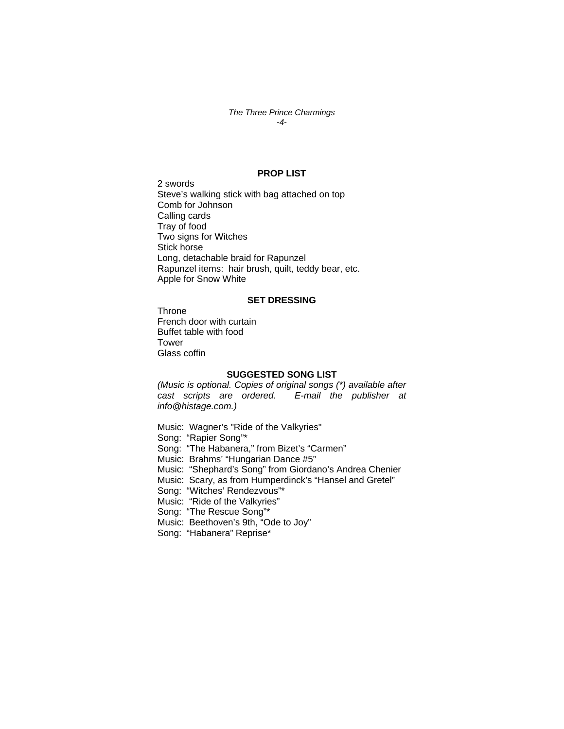#### *The Three Prince Charmings -4-*

#### **PROP LIST**

2 swords Steve's walking stick with bag attached on top Comb for Johnson Calling cards Tray of food Two signs for Witches Stick horse Long, detachable braid for Rapunzel Rapunzel items: hair brush, quilt, teddy bear, etc. Apple for Snow White

#### **SET DRESSING**

**Throne** French door with curtain Buffet table with food Tower Glass coffin

#### **SUGGESTED SONG LIST**

*(Music is optional. Copies of original songs (\*) available after cast scripts are ordered. E-mail the publisher at info@histage.com.)* 

Music: Wagner's "Ride of the Valkyries" Song: "Rapier Song"\* Song: "The Habanera," from Bizet's "Carmen" Music: Brahms' "Hungarian Dance #5" Music: "Shephard's Song" from Giordano's Andrea Chenier Music: Scary, as from Humperdinck's "Hansel and Gretel" Song: "Witches' Rendezvous"\* Music: "Ride of the Valkyries" Song: "The Rescue Song"\* Music: Beethoven's 9th, "Ode to Joy" Song: "Habanera" Reprise\*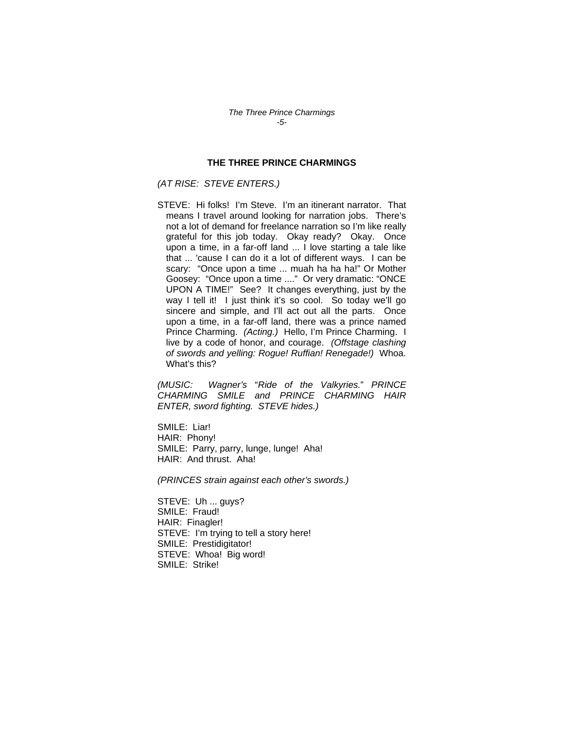### **THE THREE PRINCE CHARMINGS**

## *(AT RISE: STEVE ENTERS.)*

STEVE: Hi folks! I'm Steve. I'm an itinerant narrator. That means I travel around looking for narration jobs. There's not a lot of demand for freelance narration so I'm like really grateful for this job today. Okay ready? Okay. Once upon a time, in a far-off land ... I love starting a tale like that ... 'cause I can do it a lot of different ways. I can be scary: "Once upon a time ... muah ha ha ha!" Or Mother Goosey: "Once upon a time ...." Or very dramatic: "ONCE UPON A TIME!" See? It changes everything, just by the way I tell it! I just think it's so cool. So today we'll go sincere and simple, and I'll act out all the parts. Once upon a time, in a far-off land, there was a prince named Prince Charming. *(Acting.)* Hello, I'm Prince Charming. I live by a code of honor, and courage. *(Offstage clashing of swords and yelling: Rogue! Ruffian! Renegade!)* Whoa. What's this?

*(MUSIC: Wagner's* "*Ride of the Valkyries.*" *PRINCE CHARMING SMILE and PRINCE CHARMING HAIR ENTER, sword fighting. STEVE hides.)* 

SMILE: Liar! HAIR: Phony! SMILE: Parry, parry, lunge, lunge! Aha! HAIR: And thrust. Aha!

*(PRINCES strain against each other's swords.)* 

STEVE: Uh ... guys? SMILE: Fraud! HAIR: Finagler! STEVE: I'm trying to tell a story here! SMILE: Prestidigitator! STEVE: Whoa! Big word! SMILE: Strike!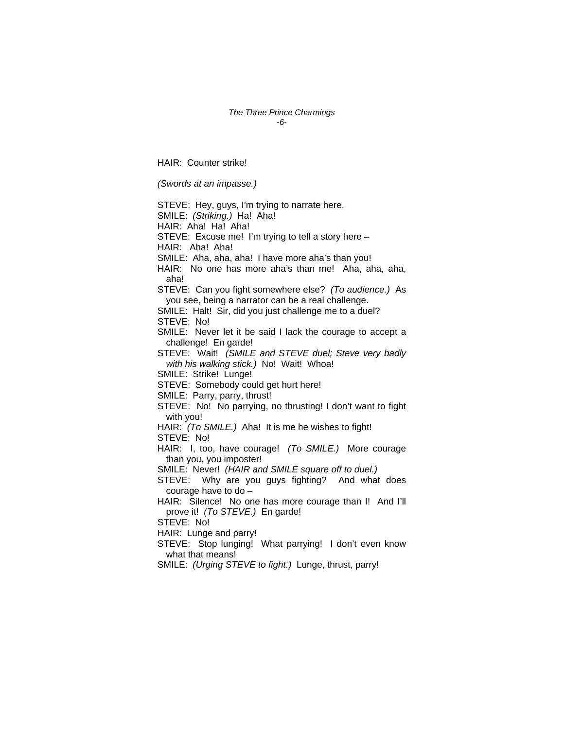#### *The Three Prince Charmings -6-*

HAIR: Counter strike!

*(Swords at an impasse.)* 

STEVE: Hey, guys, I'm trying to narrate here. SMILE: *(Striking.)* Ha! Aha! HAIR: Aha! Ha! Aha! STEVE: Excuse me! I'm trying to tell a story here – HAIR: Aha! Aha! SMILE: Aha, aha, aha! I have more aha's than you! HAIR: No one has more aha's than me! Aha, aha, aha, aha! STEVE: Can you fight somewhere else? *(To audience.)* As you see, being a narrator can be a real challenge. SMILE: Halt! Sir, did you just challenge me to a duel? STEVE: No! SMILE: Never let it be said I lack the courage to accept a challenge! En garde! STEVE: Wait! *(SMILE and STEVE duel; Steve very badly with his walking stick.)* No! Wait! Whoa! SMILE: Strike! Lunge! STEVE: Somebody could get hurt here! SMILE: Parry, parry, thrust! STEVE: No! No parrying, no thrusting! I don't want to fight with you! HAIR: *(To SMILE.)* Aha! It is me he wishes to fight! STEVE: No! HAIR: I, too, have courage! *(To SMILE.)* More courage than you, you imposter! SMILE: Never! *(HAIR and SMILE square off to duel.)* STEVE: Why are you guys fighting? And what does courage have to do – HAIR: Silence! No one has more courage than I! And I'll prove it! *(To STEVE.)* En garde! STEVE: No! HAIR: Lunge and parry! STEVE: Stop lunging! What parrying! I don't even know what that means! SMILE: *(Urging STEVE to fight.)* Lunge, thrust, parry!